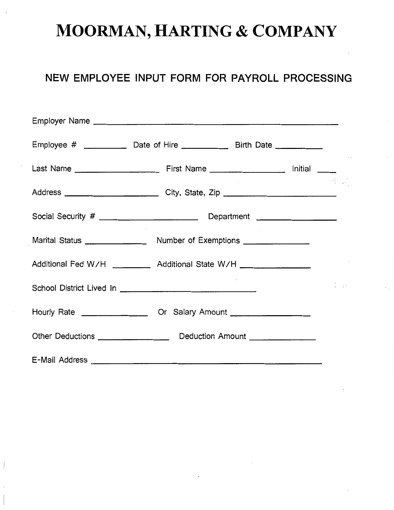# **MOORMAN, HARTING & COMPANY**

# **NEW EMPLOYEE INPUT FORM FOR PAYROLL PROCESSING**

| Employee # ______________ Date of Hire _______________ Birth Date ______________  |  |                             |
|-----------------------------------------------------------------------------------|--|-----------------------------|
|                                                                                   |  |                             |
| Address _________________________________City, State, Zip ______________________  |  | $\sim 10^{11}$ M $_{\odot}$ |
|                                                                                   |  |                             |
|                                                                                   |  |                             |
| Additional Fed W/H ___________ Additional State W/H _____________________________ |  |                             |
|                                                                                   |  | $1 - \epsilon$              |
| Hourly Rate ______________________ Or Salary Amount ____________________________  |  |                             |
|                                                                                   |  |                             |
|                                                                                   |  |                             |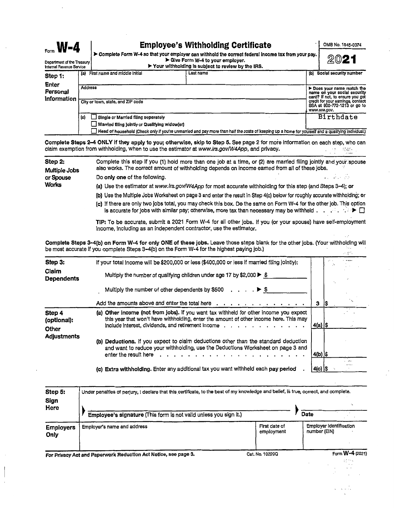| $\mathsf{f}_{\mathsf{form}}$ <b>W-4</b>                  |                |                                                        | <b>Employee's Withholding Certificate</b>                                                                                                                                                    |     | OMB No. 1545-0074                                                                                                                |  |  |  |
|----------------------------------------------------------|----------------|--------------------------------------------------------|----------------------------------------------------------------------------------------------------------------------------------------------------------------------------------------------|-----|----------------------------------------------------------------------------------------------------------------------------------|--|--|--|
| Department of the Treasury I<br>Internal Revenue Service |                |                                                        | Complete Form W-4 so that your employer can withhold the correct federal income tax from your pay.<br>Give Form W-4 to your employer.<br>▶ Your withholding is subject to review by the IRS. |     |                                                                                                                                  |  |  |  |
| Step 1:                                                  | (a)            | First name and middle initial                          | Last name                                                                                                                                                                                    | (b) | Social security number                                                                                                           |  |  |  |
| <b>Enter</b><br>Personal<br>Information                  | <b>Address</b> | City or town, state, and ZIP code                      |                                                                                                                                                                                              |     | Does your name match the<br>name on your social security<br>card? If not, to ensure you get<br>credit for your earnings, contact |  |  |  |
|                                                          |                | SSA at 800-772-1213 or go to<br><b>HOLDLE COO COLL</b> |                                                                                                                                                                                              |     |                                                                                                                                  |  |  |  |

*www.asa.gov.*  (c) Single or Married filing separately Birthdate D Married filing Jointly or Qualifying wldow(er) D Head of household (Check only If you're unmarried and pay more than half the costs of keeping up a home for yourself and a qualifying lndlvldual.)

**Complete Steps 2-4 ONLY if they apply to you; otherwise, skip to Step 5. See page 2 for more information on each step, who can claim exemption from withholding, when to use the estimator at www.irs.gov/W4App, and privacy.** claim exemption from withholding, when to use the estimator at www.irs.gov/W4App, and privacy.

| Complete this step if you (1) hold more than one job at a time, or (2) are married filing jointly and your spouse<br>also works. The correct amount of withholding depends on income earned from all of these jobs.        |
|----------------------------------------------------------------------------------------------------------------------------------------------------------------------------------------------------------------------------|
| Do only one of the following.<br>$\bullet$ . In attack that                                                                                                                                                                |
| (a) Use the estimator at www.irs.gov/W4App for most accurate withholding for this step (and Steps 3-4); or                                                                                                                 |
| (b) Use the Multiple Jobs Worksheet on page 3 and enter the result in Step 4(c) below for roughly accurate withholding; or                                                                                                 |
| (c) If there are only two jobs total, you may check this box. Do the same on Form W-4 for the other job. This option<br>is accurate for jobs with similar pay; otherwise, more tax than necessary may be withheld $\ldots$ |
|                                                                                                                                                                                                                            |

**TIP:** To be accurate, submit a 2021 Form W-4 for all other jobs. If you (or your spouse) have self-employment Income, including as an Independent contractor, use the estimator.

**Complete Steps 3-4(b) on Form W-4 for only ONE of these jobs.** Leave those steps blank for the other jobs, (Your withholding will be most accurate if you complete Steps 3-4(b) on the Form W-4 for the highest paying job.)  $\mathcal{L}(\xi^{\alpha})$ 

| Step 3:                        | If your total income will be \$200,000 or less (\$400,000 or less if married filing jointly):                                                                                                                                                                                                                                                                                                            |             |     |      |
|--------------------------------|----------------------------------------------------------------------------------------------------------------------------------------------------------------------------------------------------------------------------------------------------------------------------------------------------------------------------------------------------------------------------------------------------------|-------------|-----|------|
| Claim<br><b>Dependents</b>     | Multiply the number of qualifying children under age 17 by \$2,000 $\blacktriangleright$ \$                                                                                                                                                                                                                                                                                                              |             |     |      |
|                                | Multiply the number of other dependents by \$500 $\ldots$ , $\blacktriangleright$ \$                                                                                                                                                                                                                                                                                                                     |             |     |      |
|                                | Add the amounts above and enter the total here $\cdots$ , $\cdots$ , $\cdots$ , $\cdots$ , $\cdots$                                                                                                                                                                                                                                                                                                      | 3           | 1\$ |      |
| Step 4<br>(optional):<br>Other | (a) Other income (not from jobs). If you want tax withheld for other income you expect<br>this year that won't have withholding, enter the amount of other income here. This may<br>include interest, dividends, and retirement income $\cdots$ , $\cdots$ , $\cdots$ , $\cdots$ , $\cdots$                                                                                                              | 4(a)  \$    |     |      |
| <b>Adjustments</b>             | (b) Deductions. If you expect to claim deductions other than the standard deduction<br>and want to reduce your withholding, use the Deductions Worksheet on page 3 and<br>enter the result here result of the result of the result of the result of the result of the result of the result of the result of the result of the result of the result of the result of the result of the result of the resu | $4(b)$ \$   |     |      |
|                                | (c) Extra withholding. Enter any additional tax you want withheld each pay period                                                                                                                                                                                                                                                                                                                        | $ 4(c) $ \$ |     | 1.11 |

| Step 5:<br>Sign<br>Here  | Under penalties of perjury, I declare that this certificate, to the best of my knowledge and belief, is true, correct, and complete.<br>Employee's signature (This form is not valid unless you sign it.) |                             | Date                                    |                 |
|--------------------------|-----------------------------------------------------------------------------------------------------------------------------------------------------------------------------------------------------------|-----------------------------|-----------------------------------------|-----------------|
| <b>Employers</b><br>Only | Employer's name and address                                                                                                                                                                               | First date of<br>employment | Employer Identification<br>number (EIN) |                 |
|                          | For Privacy Act and Paperwork Reduction Act Notice, see page 3.                                                                                                                                           | Cat. No. 10220Q             |                                         | Form W-4 (2021) |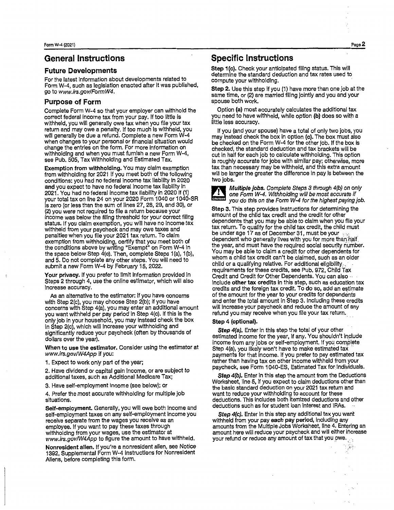#### **General Instructions**

#### **Future Developments**

For the latest information about developments related to Form W-4, such as legislation enacted after it was published, go to www.lrs.gov/FormW4.

#### **Purpose of Form**

Complete Form W-4 so that your employer can withhold the correct federal income tax from your pay. If too little is withheld, you will generally owe tax when you file your tax return and may owe a penalty. If too much is withheld, you will generally be due a refund. Complete a new Form W-4 when changes to your personal or financial situation would change the entries on the form. For more information on withholding and when you must furnish a new Form W-4, see Pub. 505, Tax Withholding and Estimated Tax.

Exemption from withholding. You may claim exemption from withholding for 2021 if you meet both of the following conditions: you had no federal income tax liablllty in 2020 and you expect to have no federal income tax liability in 2021. You had no federal income tax liability in 2020 if (1) your total tax on line 24 on your 2020 Form 1040 or 1040-SR is zero (or less than the sum of lines 27, 28, 29, and 30), or (2) you were not required to file a return because your income was below the filing threshold for your correct fillng status. If you claim exemption, you will have no income tax withheld from your paycheck and may owe taxes and penalties when you file your 2021 tax return. To claim exemption from withholding, certify that you meet both of the conditions above by writing "Exempt" on Form W-4 In the space below Step 4(c). Then, complete Steps 1 (a), 1 (b), and 5. Do not complete any other steps. You will need to submit a new Form W-4 by February 15, 2022.

**Your privacy.** If you prefer to limit information provided in Steps 2 through 4, use the online estimator, which will also increase accuracy.

As an alternative to the estimator: if you have concerns with Step 2(c), you may choose Step 2(b); if you have concerns with Step 4(a), you may enter an additional amount you want withheld per pay period in Step 4(c). If this is the only job in your household, you may instead check the box in Step 2(c), which will increase your withholding and significantly reduce your paycheck (often by thousands of dollars over the year).

**When to use the estimator.** Consider using the estimator at www.irs.gov/W4App if you:

1. Expect to work only part of the year;

2. Have dividend or capital gain income, or are subject to additional taxes, such as Additional Medicare Tax;

3. Have self-employment income (see below); or

4. Prefer the most accurate withholding for multiple job situations.

**Self-employment.** Generally, you will owe both income and self-employment taxes on any self-employment income you receive separate from the wages you receive as an employee. If you want to pay these taxes through withholding from your wages, use the estimator at www.irs.gov/W4App to figure the amount to have withheld.

**Nonresident alien.** If you're a nonresident alien, see Notice 1392, Supplemental Form W-4 Instructions for Nonresident Aliens, before completing this form.

#### **Specific Instructions**

Step 1(c). Check your anticipated filing status. This will determine the standard deduction and tax rates used to compute your withholding.

**Step 2.** Use this step if you (1) have more than one job at the same time, or (2) are married filing jointly and you and your spouse both work.

Option **(a)** most accurately calculates the additional tax you need to have withheld, while option **{b}** does so with a little less accuracy.

If you (and your spouse) have a total of only two jobs, you may instead check the box in option **(c).** The box must also be checked on the Form W-4 for the other job. If the box Is checked, the standard deduction and tax brackets will be cut in half for each job to calculate withholding. This option is roughly accurate for jobs with similar pay; otherwise, more tax than necessary may be withheld, and this extra amount will be larger the greater the difference In pay is between the two lobs.



**Multiple jobs.** Complete Steps 3 through 4(b) on only one Form W-4. Withholding will be most accurate if you do this on the Form W-4 for the highest paying job.

Step 3. This step provides instructions for determining the amount of the child tax credit and the credit for other dependents that you may be able to claim when you file your tax return. To qualify for the child tax credit, the child must be under age 17 as of December 31, must be your dependent who generally lives with you for more than half the year, and must have the required social security number. You may be able to claim a credit for other dependents for whom a child tax credit can't be claimed, such as an older child or a qualifying relative. For additional eligibility. requirements for these credits, see Pub. 972, Child Tax Credit and Credit for Other Dependents. You can also -. include **other tax credits** in this step, such as education tax credits and the foreign tax credit. To do so, add an estimate of the amount for the year to your credits for dependents and enter the total amount in Step 3. Including these credits will increase your paycheck and reduce the amount of any refund you may receive when you file your tax return.

#### **Step 4 (optional).**

**Step 4(a).** Enter in this step the total of your other estimated income for the year, if any. You shouldn't include income from any jobs or self-employment. If you complete Step 4(a), you likely won't have to make estimated tax payments for that income. If you prefer to pay estimated tax rather than having tax on other income withheld from your paycheck, see Form 1040-ES, Estimated Tax for Individuals.

**Step** 4(b). Enter in this step the amount from the Deductions Worksheet, line 5, if you expect to claim deductions other than the basic standard deduction on your 2021 tax return and want to reduce your withholding to account for these deductions. This Includes both Itemized deductions and other deductions such as for student loan interest and IRAs.

**Step 4(c).** Enter in this step any additional tax you want withheld from your pay **each pay period,** Including any amounts from the Multiple Jobs Worksheet, line 4. Entering an amount here will reduce your paycheck and will either increase your refund or reduce any amount of tax that you owe.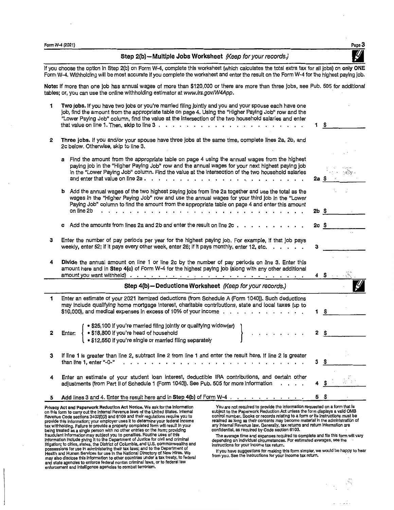Form W-4 (2021)  $\qquad \qquad$  Page  $3$ 

Step 2(b)-Multiple Jobs Worksheet (Keep for your records.)

If you choose the option in Step 2(b) on Form W-4, complete this worksheet (which calculates the total extra tax for all jobs) on only ONE Form W-4. Withholding will be most accurate if you complete the worksheet and enter the result on the Form W-4 for the highest paying job.

**Note:** If more than one job has annual wages of more than \$120,000 or there are more than three jobs, see Pub. 505 for additional tables; or, you can use the online withholding estimator at www.irs.gov/W4App.

|            |                                                                                                                                                                                                                                                                                                            |                 | - \$                             |
|------------|------------------------------------------------------------------------------------------------------------------------------------------------------------------------------------------------------------------------------------------------------------------------------------------------------------|-----------------|----------------------------------|
| 2          | Three jobs. If you and/or your spouse have three jobs at the same time, complete lines 2a, 2b, and<br>2c below. Otherwise, skip to line 3.                                                                                                                                                                 |                 |                                  |
|            | a Find the amount from the appropriate table on page 4 using the annual wages from the highest<br>paying job in the "Higher Paying Job" row and the annual wages for your next highest paying job<br>in the "Lower Paying Job" column. Find the value at the intersection of the two household salaries    | 2a \$           | $\alpha \sim \gamma_{\rm B}$ y . |
|            | b Add the annual wages of the two highest paying jobs from line 2a together and use the total as the<br>wages in the "Higher Paying Job" row and use the annual wages for your third job in the "Lower<br>Paying Job" column to find the amount from the appropriate table on page 4 and enter this amount |                 |                                  |
| on line 2b | the contract of the contract of the contract of the contract of the contract of the contract of the contract of                                                                                                                                                                                            |                 | $2b \quad $$                     |
|            | c Add the amounts from lines 2a and 2b and enter the result on line $2c \cdot \cdot \cdot \cdot \cdot \cdot \cdot \cdot \cdot$                                                                                                                                                                             | 2c <sub>5</sub> |                                  |
| з          | Enter the number of pay periods per year for the highest paying job. For example, if that job pays<br>weekly, enter 52; if it pays every other week, enter 26; if it pays monthly, enter 12, etc.                                                                                                          | з               |                                  |
| 4          | Divide the annual amount on line 1 or line 2c by the number of pay periods on line 3. Enter this<br>amount here and in Step 4(c) of Form W-4 for the highest paying job (along with any other additional                                                                                                   |                 |                                  |
|            | Step 4(b) - Deductions Worksheet (Keep for your records.)                                                                                                                                                                                                                                                  |                 |                                  |
| 1.         | Enter an estimate of your 2021 itemized deductions (from Schedule A (Form 1040)). Such deductions<br>may include qualifying home mortgage interest, charitable contributions, state and local taxes (up to                                                                                                 | 1               | - \$                             |
| 2          | • \$25,100 if you're married filing jointly or qualifying widow(er)<br>Enter: • \$18,800 if you're head of household<br>• \$12,550 if you're single or married filing separately<br>$\sim$                                                                                                                 |                 | 2 <sup>5</sup>                   |
| 3          | If line 1 is greater than line 2, subtract line 2 from line 1 and enter the result here. If line 2 is greater<br>than line 1, enter "-0-"                                                                                                                                                                  | 3.              | \$                               |
| 4          | Enter an estimate of your student loan interest, deductible IRA contributions, and certain other<br>adjustments (from Part II of Schedule 1 (Form 1040)). See Pub. 505 for more information                                                                                                                |                 |                                  |
|            | Add lines 3 and 4. Enter the result here and in Step 4(b) of Form W-4 $\ldots$ , $\ldots$ , $\ldots$                                                                                                                                                                                                       | 55              |                                  |

Privacy Act and Paperwork Reduction Act Notice. We ask for the information<br>on this form to carry out the internal Revenue laws of the United States. Internal<br>Revenue Code sections 3402(f)(2) and 6109 and their regulations possessions for use in administering their tax laws; and to the Department of<br>Health and Human Services for use in the National Directory of New Hires. We<br>may also disclose this information to other countries under a tax t and state agencies to enforce federal nontax criminal laws, or to federal law enforcement and Intelligence agencies to combat terrorism.

You are not required to provide the information requested on a form that is subject to the Paperwork Reduction Act unless the form displays a valid OMB<br>control number. Books or records relating to a form or its instructions must be<br>retained as long as their contents may become material in the admi confidential, as required by Code section 6103.

The average time and expenses required to complete and file this form wlli vary depending on individual circumstances. For estimated averages, see the instructions for your income tax return.

If you have suggestions for making this form simpler, we would be happy to hear<br>from you. See the instructions for your income tax return,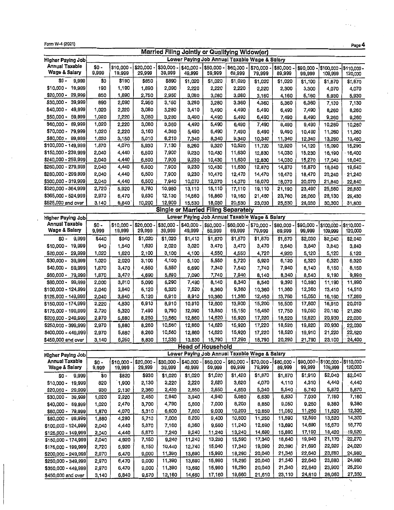| Form W-4 (2021)<br>Page 4                 |                                                |                    |                      |                    |                      |                          |                                            |                                               |                    |                    |                        |                       |
|-------------------------------------------|------------------------------------------------|--------------------|----------------------|--------------------|----------------------|--------------------------|--------------------------------------------|-----------------------------------------------|--------------------|--------------------|------------------------|-----------------------|
|                                           | Married Filing Jointly or Qualifying Widow(er) |                    |                      |                    |                      |                          |                                            |                                               |                    |                    |                        |                       |
| Higher Paying Job                         |                                                |                    |                      |                    |                      |                          |                                            | Lower Paying Job Annual Taxable Wage & Salary |                    |                    |                        |                       |
| Annual Taxable<br>Wage & Salary           | $$0 -$<br>9,999                                | \$10,000<br>19,999 | \$20,000 -<br>29,999 | \$30,000<br>39,999 | \$40,000 -<br>49,999 | $$50,000 -$<br>59,999    | \$60,000<br>69,999                         | \$70,000 -<br>79,999                          | \$80,000<br>89,999 | \$90,000<br>99,999 | \$100,000<br>109,999   | \$110,000-<br>120,000 |
| \$0 -<br>9,999                            | \$0                                            | \$190              | \$850                | \$890              | \$1,020              | \$1,020                  | \$1,020                                    | \$1,020                                       | \$1,020            | \$1,100            | \$1,870                | \$1,870               |
| $$10,000 -$<br>19,999                     | 190                                            | 1,190              | 1,890                | 2,090              | 2,220                | 2,220                    | 2,220                                      | 2,220                                         | 2,300              | 3,300              | 4,070                  | 4,070                 |
| $$20,000 -$<br>29,999                     | 850                                            | 1,890              | 2,750                | 2,950              | 3,080                | 3,080                    | 3,080                                      | 3,160                                         | 4,160              | 5,160              | 5,930                  | 5,930                 |
| \$30,000 -<br>39,999                      | 890                                            | 2,090              | 2,950                | 3,150              | 3,280                | 3,280                    | 3,360                                      | 4,360                                         | 5,360              | 6,360              | 7,130                  | 7,130                 |
| \$40,000 -<br>49,999                      | 1,020                                          | 2,220              | 3,080                | 3,280              | 3,410                | 3,490                    | 4,490                                      | 5,490                                         | 6,490              | 7,490              | 8,260                  | 8,260                 |
| 59,999<br>\$50,000 -                      | 1,020                                          | 2,220              | 3,080                | 3,280              | 3,490                | 4,490                    | 5,490                                      | 6,490                                         | 7,490              | 8,490              | 9,260                  | 9,260                 |
| \$60,000 -<br>69,999                      | 1,020                                          | 2,220              | 3,080                | 3,360              | 4,490                | 5,490                    | 6,490                                      | 7,490                                         | 8,490              | 9,490              | 10,260                 | 10,260                |
| \$70,000 - 79,999                         | 1,020                                          | 2,220              | 3,160                | 4,360              | 5,490                | 6,490                    | 7,490                                      | 8,490                                         | 9,490              | 10,490             | 11,260                 | 11,260                |
| \$80,000 - 99,999                         | 1,020                                          | 3,150              | 5,010                | 6,210              | 7,340                | 8,340                    | 9,340                                      | 10,340                                        | 11,340             | 12,340             | 13,260                 | 13,460                |
| \$100,000 - 149,999                       | 1,870                                          | 4,070              | 5,930                | 7,130              | 8,260                | 9,320                    | 10,520                                     | 11,720                                        | 12,920             | 14,120             | 15,090                 | 15,290                |
| \$150,000 - 239,999                       | 2,040                                          | 4,440              | 6,500                | 7,900              | 9,230                | 10,430                   | 11,630                                     | 12,830                                        | 14,030             | 15,230             | 16,190                 | 16,400                |
| \$240,000 - 259,999                       | 2,040                                          | 4,440              | 6,500                | 7,900              | 9,230                | 10,430                   | 11,630                                     | 12,830                                        | 14,030             | 15,270             | 17,040                 | 18,040                |
| \$260,000 - 279,999                       | 2,040                                          | 4,440              | 6,500                | 7,900              | 9,230                | 10,430                   | 11,630                                     | 12,870                                        | 14,870             | 16,870             | 18,640                 | 19,640                |
| \$280,000 - 299,999                       | 2,040                                          | 4,440              | 6,500                | 7,900              | 9,230                | 10,470                   | 12,470                                     | 14,470                                        | 16,470             | 18,470             | 20,240                 | 21,240                |
| \$300,000 - 319,999                       | 2,040                                          | 4,440              | 6,500                | 7,940              | 10,070               | 12,070                   | 14,070                                     | 16,070                                        | 18,070             | 20,070             | 21,840                 | 22,840                |
| \$320,000 - 364,999                       | 2,720                                          | 5,920              | 8,780                | 10,980             | 13,110               | 15,110                   | 17,110                                     | 19,110                                        | 21,190             | 23,490             | 25,560                 | 26,860                |
| \$365,000 - 524,999                       | 2,970                                          | 6,470              | 9,630                | 12,130             | 14,560               | 16,860                   | 19,160                                     | 21,460                                        | 23,760             | 26,060             | 28,130                 | 29,430                |
| \$525,000 and over                        | 3,140                                          | 6,840              | 10,200               | 12,900             | 15,530               | 18,030                   | 20,530                                     | 23,030                                        | 25,530             | 28,030             | 30,300                 | 31,800                |
|                                           |                                                |                    |                      |                    |                      |                          | <b>Single or Married Filing Separately</b> |                                               |                    |                    |                        |                       |
| Higher Paying Job                         |                                                |                    |                      |                    |                      |                          |                                            | Lower Paying Job Annual Taxable Wage & Salary |                    |                    |                        |                       |
| <b>Annual Taxable</b><br>Wage & Salary    | $$0 -$<br>9,999                                | \$10,000<br>19,999 | \$20,000<br>29,999   | \$30,000<br>39,999 | \$40,000 -<br>49,999 | \$50,000 -<br>59,999     | \$60,000<br>69,999                         | \$70,000 -<br>79,999                          | \$80,000<br>89,999 | \$90,000<br>99,999 | \$100,000 -<br>109,999 | \$110,000-<br>120,000 |
|                                           |                                                |                    |                      |                    |                      |                          |                                            |                                               |                    |                    |                        |                       |
| 9,999<br>\$0 -                            | \$440                                          | \$940              | \$1,020              | \$1,020            | \$1,410              | \$1,870                  | \$1,870                                    | \$1,870                                       | \$1,870            | \$2,030            | \$2,040                | \$2,040               |
| $$10,000 -$<br>19,999                     | 940                                            | 1,540              | 1,620                | 2,020<br>3,100     | 3,020                | 3,470                    | 3,470                                      | 3,470                                         | 3,640              | 3,840              | 3,840                  | 3,840                 |
| 29,999<br>\$20,000 -                      | 1,020                                          | 1,620              | 2,100                |                    | 4,100                | 4,550                    | 4,550                                      | 4,720                                         | 4,920              | 5,120              | 5,120                  | 5,120                 |
| $$30,000 -$<br>39,999                     | 1,020                                          | 2,020              | 3,100                | 4,100              | 5,100                | 5,550                    | 5,720                                      | 5,920                                         | 6,120              | 6,320<br>8,140     | 6,320                  | 6,320                 |
| 59,999<br>\$40,000 -                      | 1,870                                          | 3,470              | 4,550                | 5,550              | 6,690                | 7,340                    | 7,540                                      | 7,740                                         | 7,940              | 8,540              | 8,150                  | 8,150<br>9,990        |
| \$60,000 -<br>79,999<br>\$80,000 - 99,999 | 1,870<br>2,000                                 | 3,470              | 4,690<br>5,090       | 5,890<br>6,290     | 7,090<br>7,490       | 7,740<br>8,140           | 7,940<br>8,340                             | 8,140<br>8,540                                | 8,340<br>9,390     | 10,390             | 9,190<br>11,190        | 11,990                |
| \$100,000 - 124,999                       | 2,040                                          | 3,810<br>3,840     | 5,120                | 6,320              | 7,520                | 8,360                    | 9,360                                      | 10,360                                        | 11,360             | 12,360             | 13,410                 | 14,510                |
| \$125,000 - 149,999                       | 2,040                                          | 3,840              | 5,120                | 6,910              | 8,910                | 10,360                   | 11,360                                     | 12,450                                        | 13,750             | 15,050             | 16,160                 | 17,260                |
| \$150,000 - 174,999                       | 2,220                                          | 4,830              | 6,910                | 8,910              | 10,910               | 12,600                   | 13,900                                     | 15,200                                        | 16,500             | 17,800             | 18,910                 | 20,010                |
| \$175,000 - 199,999                       | 2,720                                          | 5,320              | 7,490                | 9,790              | 12,090               | 13,850                   | 15,150                                     | 16,450                                        | 17,750             | 19,050             | 20,150                 | 21,250                |
| \$200,000 - 249,999                       | 2,970                                          | 5,880              | 8,260                | 10,560             | 12,860               | 14,620                   | 15,920                                     | 17,220                                        | 18,520             | 19,820             | 20,930                 | 22,030                |
| \$250,000 - 399,999                       | 2,970                                          | 5,880              | 8,260                | 10,560             | 12,860               | 14,620                   | 15,920                                     | 17,220                                        | 18,520             | 19,820             | 20,930                 | 22,030                |
| \$400,000 - 449,999                       | 2,970                                          | 5,880              | 8,260                | 10,560             | 12,860               | 14,620                   | 15,920                                     | 17,220                                        | 18,520             | 19,910             | 21,220                 | 22,520                |
| \$450,000 and over                        | 3,140                                          | 6,250              | 8,830                | 11,330             | 13,830               | 15,790                   | 17,290                                     | 18,790                                        | 20,290             | 21,790             | 23,100                 | 24,400                |
|                                           |                                                |                    |                      |                    |                      | <b>Head of Household</b> |                                            |                                               |                    |                    |                        |                       |
| <b>Higher Paying Job</b>                  |                                                |                    |                      |                    |                      |                          |                                            | Lower Paying Job Annual Taxable Wage & Salary |                    |                    |                        |                       |
| Annual Taxable                            | $$0 -$                                         | $$10,000 -$        | $$20,000 -$          | \$30,000           | \$40,000 -           | \$50,000 -               | \$60,000                                   | \$70,000 -                                    | \$80,000           | \$90,000           | \$100,000              | \$110,000 -           |
| Wage & Salary                             | 9,999                                          | 19,999             | 29,999               | 39,999             | 49,999               | 59,999                   | 69,999                                     | 79,999                                        | 89,999             | 99,999             | 109,999                | 120,000               |
| 9,999<br>\$0 -                            | \$0                                            | \$820              | \$930                | \$1,020            | \$1,020              | \$1,020                  | \$1,420                                    | \$1,870                                       | \$1,870            | \$1,910            | \$2,040                | \$2,040               |
| \$10,000 -<br>19,999                      | 820                                            | 1,900              | 2,130                | 2,220              | 2,220                | 2,620                    | 3,620                                      | 4,070                                         | 4,110              | 4,310              | 4,440                  | 4,440                 |
| \$20,000 - 29,999                         | 930                                            | 2,130              | 2,360                | 2,450              | 2,850                | 3,850                    | 4,850                                      | 5,340                                         | 5,540              | 5,740              | 5,870                  | 5,870                 |
| \$30,000 -<br>39,999                      | 1,020                                          | 2,220              | 2,450                | 2,940              | 3,940                | 4,940                    | 5,980                                      | 6,630                                         | 6,830              | 7,030              | 7,160                  | 7,160                 |
| \$40,000 -<br>59,999                      | 1,020                                          | 2,470              | 3,700                | 4,790              | 5,800                | 7,000                    | 8,200                                      | 8,850                                         | 9,050              | 9,250              | 9,380                  | 9,380                 |
| \$60,000 - 79,999                         | 1,870                                          | 4,070              | 5,310                | 6,600              | 7,800                | 9,000                    | 10,200                                     | 10,850                                        | 11,050             | 11,250             | 11,520                 | 12,320                |
| \$80,000 - 99,999                         | 1,880                                          | 4,280              | 5,710                | 7,000              | 8,200                | 9,400                    | 10,600                                     | 11,250                                        | 11,590             | 12,590             | 13,520                 | 14,320                |
| \$100,000 - 124,999                       | 2,040                                          | 4,440              | 5,870                | 7,160              | 8,360                | 9,560                    | 11,240                                     | 12,690                                        | 13,690             | 14,690             | 15,670                 | 16,770                |
| \$125,000 - 149,999                       | 2,040                                          | 4,440              | 5,870                | 7,240              | 9,240                | 11,240                   | 13,240                                     | 14,690                                        | 15,890             | 17,190             | 18,420                 | 19,520                |
| \$150,000 - 174,999                       | 2,040                                          | 4,920              | 7,150                | 9,240              | 11,240               | 13,290                   | 15,590                                     | 17,340                                        | 18,640             | 19,940             | 21,170                 | 22,270                |
| \$175,000 - 199,999                       | 2,720                                          | 5,920              | 8,150                | 10,440             | 12,740               | 15,040                   | 17,340                                     | 19,090                                        | 20,390             | 21,690             | 22,920                 | 24,020<br>24,980      |
| \$200,000 - 249,999                       | 2,970                                          | 6,470              | 9,000                | 11,390             | 13,690               | 15,990                   | 18,290                                     | 20,040                                        | 21,340             | 22,640<br>22,640   | 23,880<br>23,880       | 24,980                |
| \$250,000 - 349,999                       | 2,970                                          | 6,470              | 9,000                | 11,390             | 13,690               | 15,990                   | 18,290                                     | 20,040                                        | 21,340             |                    |                        | 25,200                |
| \$350,000 - 449,999                       | 2,970                                          | 6,470              | 9,000                | 11,390             | 13,690               | 15,990                   | 18,290                                     | 20,040                                        | 21,340             | 22,640             | 23,900                 |                       |

 $\epsilon_{\rm{max}}$ 

V.

 $\cdot$ 

\$450,000 and over | 3,140 | 6,840 | 9,570 | 12,160 | 14,660 | 17,160 | 19,660 | 21,610 | 23,110 | 24,610 | 26,050 | 27,350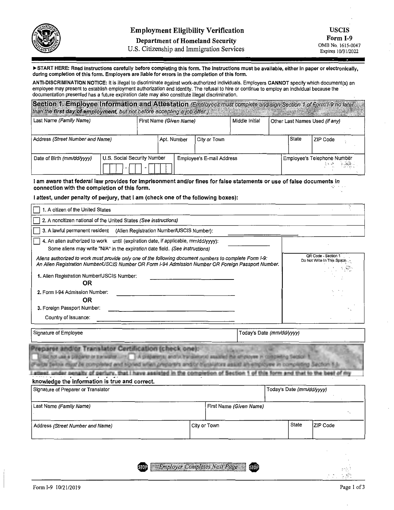

#### **Department of Homeland Security**

U.S. Citizenship and Immigration Services

START **HERE: Read instructions carefully before completing this form. The instructions must be available, either in paper or electronically, during completion of this form. Employers are liable for errors in the completion of this form.** 

**ANTI-DISCRIMINATION NOTICE:** It is illegal to discriminate against work-authorized individuals. Employers **CANNOT** specify which document(s) an employee may present to establish employment authorization and identity. The refusal to hire or continue to employ an individual because the documentation presented has a future expiration date may also constitute illegal discrimination.

| Section 1. Employee Information and Attestation (Employees must complete and sign Section 1 of Form I-9 no later<br>than the first day of employment, but not before accepting a job offer.) |                             |             |                         |                           |                |                     |                                                     |
|----------------------------------------------------------------------------------------------------------------------------------------------------------------------------------------------|-----------------------------|-------------|-------------------------|---------------------------|----------------|---------------------|-----------------------------------------------------|
| Last Name (Family Name)                                                                                                                                                                      |                             |             | First Name (Given Name) |                           | Middle Initial |                     | Other Last Names Used (if any)                      |
| Address (Street Number and Name)                                                                                                                                                             |                             | Apt. Number |                         | City or Town              |                | <i><b>State</b></i> | ZIP Code                                            |
| Date of Birth (mm/dd/yyyy)                                                                                                                                                                   | U.S. Social Security Number |             |                         | Employee's E-mail Address |                |                     | Employee's Telephone Number<br>$\sim 100$ $M_\odot$ |

I **am aware that federal law provides for imprisonment and/or fines for false statements or use of false documents in connection with the completion of this form.** 

#### I **attest, under penalty of perjury, that** I **am (check one of the following boxes):**

| 1. A citizen of the United States                                                                                                                                                                                                                                                                                                                                                                             |                         |                           |                           |                             |
|---------------------------------------------------------------------------------------------------------------------------------------------------------------------------------------------------------------------------------------------------------------------------------------------------------------------------------------------------------------------------------------------------------------|-------------------------|---------------------------|---------------------------|-----------------------------|
| 2. A noncitizen national of the United States (See instructions)                                                                                                                                                                                                                                                                                                                                              |                         |                           |                           |                             |
| 3. A lawful permanent resident<br>(Alien Registration Number/USCIS Number):                                                                                                                                                                                                                                                                                                                                   |                         |                           |                           |                             |
| 4. An alien authorized to work until (expiration date, if applicable, mm/dd/vyyy):<br>Some aliens may write "N/A" in the expiration date field. (See instructions)                                                                                                                                                                                                                                            |                         |                           |                           | QR Code - Section 1         |
| Aliens authorized to work must provide only one of the following document numbers to complete Form I-9:<br>An Alien Registration Number/USCIS Number OR Form I-94 Admission Number OR Foreign Passport Number.<br>1. Alien Registration Number/USCIS Number:                                                                                                                                                  |                         |                           |                           | Do Not Write In This Space. |
| <b>OR</b><br>2. Form I-94 Admission Number:<br><b>OR</b>                                                                                                                                                                                                                                                                                                                                                      |                         |                           |                           |                             |
| 3. Foreign Passport Number:                                                                                                                                                                                                                                                                                                                                                                                   |                         |                           |                           |                             |
| Country of Issuance:                                                                                                                                                                                                                                                                                                                                                                                          |                         |                           |                           |                             |
| Signature of Employee                                                                                                                                                                                                                                                                                                                                                                                         |                         | Today's Date (mm/dd/yyyy) |                           |                             |
| reparer and/or Translator Certification (check one):<br>Didat not use a preparer or transition. The pregaments and/or transitional assistant the attrover in completing Septem-1<br>and the factories and the completed and signed when preparent and/or thumishore assists an employee in completing Section<br>have assisted in the completion of Section<br>knowledge the information is true and correct. |                         |                           |                           |                             |
| Signature of Preparer or Translator                                                                                                                                                                                                                                                                                                                                                                           |                         |                           | Today's Date (mm/dd/yyyy) |                             |
| Last Name (Family Name)                                                                                                                                                                                                                                                                                                                                                                                       | First Name (Given Name) |                           |                           |                             |
| Address (Street Number and Name)                                                                                                                                                                                                                                                                                                                                                                              | City or Town            |                           | <b>State</b>              | ZIP Code                    |

**Employer Completes Next Page STOP STOP** 

ય જે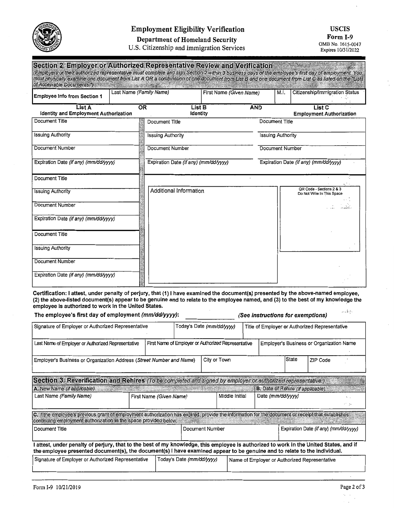

### **Employment Eligibility Verification**

## **USCIS**

**Form I-9**<br> **OMB No. 1615-0047** 

**Department of Homeland Security**  U.S. Citizenship and Immigration Services

Expires 10/31/2022

| Section 2. Employer or Authorized Representative Review and Verification<br>(Employers or their authorized representative must complete and sign Section 2 within 3 business days of the employee's first day of employment. You<br>must physically examine one document from List A OR a combination of one document from List B and one document from List C as listed on the "Lists<br>of Acceptable Documents.") | <b>CONSTRUCTION CONTROLLED BY A CONSTRUCTION</b> |                                       |                         |                          |      |                                                        |
|----------------------------------------------------------------------------------------------------------------------------------------------------------------------------------------------------------------------------------------------------------------------------------------------------------------------------------------------------------------------------------------------------------------------|--------------------------------------------------|---------------------------------------|-------------------------|--------------------------|------|--------------------------------------------------------|
| <b>Employee Info from Section 1</b>                                                                                                                                                                                                                                                                                                                                                                                  | Last Name (Family Name)                          |                                       | First Name (Given Name) |                          | M.I. | Citizenship/Immigration Status                         |
| List A<br><b>Identity and Employment Authorization</b>                                                                                                                                                                                                                                                                                                                                                               | <b>OR</b>                                        | List B<br>Identity                    |                         | <b>AND</b>               |      | List C<br><b>Employment Authorization</b>              |
| Document Title                                                                                                                                                                                                                                                                                                                                                                                                       |                                                  | Document Title                        |                         | Document Title           |      |                                                        |
| <b>Issuing Authority</b>                                                                                                                                                                                                                                                                                                                                                                                             |                                                  | <b>Issuing Authority</b>              |                         | <b>Issuing Authority</b> |      |                                                        |
| Document Number                                                                                                                                                                                                                                                                                                                                                                                                      |                                                  | Document Number                       |                         | <b>Document Number</b>   |      |                                                        |
| Expiration Date (if any) (mm/dd/yyyy)                                                                                                                                                                                                                                                                                                                                                                                |                                                  | Expiration Date (if any) (mm/dd/yyyy) |                         |                          |      | Expiration Date (if any) (mm/dd/yyyy)                  |
| Document Title                                                                                                                                                                                                                                                                                                                                                                                                       |                                                  |                                       |                         |                          |      |                                                        |
| <b>Issuing Authority</b>                                                                                                                                                                                                                                                                                                                                                                                             |                                                  | Additional Information                |                         |                          |      | QR Code - Sections 2 & 3<br>Do Not Write In This Space |
| Document Number                                                                                                                                                                                                                                                                                                                                                                                                      |                                                  |                                       |                         |                          |      |                                                        |
| Expiration Date (if any) (mm/dd/yyyy)                                                                                                                                                                                                                                                                                                                                                                                |                                                  |                                       |                         |                          |      |                                                        |
| Document Title                                                                                                                                                                                                                                                                                                                                                                                                       |                                                  |                                       |                         |                          |      |                                                        |
| <b>Issuing Authority</b>                                                                                                                                                                                                                                                                                                                                                                                             |                                                  |                                       |                         |                          |      |                                                        |
| <b>Document Number</b>                                                                                                                                                                                                                                                                                                                                                                                               |                                                  |                                       |                         |                          |      |                                                        |
| Expiration Date (if any) (mm/dd/yyyy)                                                                                                                                                                                                                                                                                                                                                                                |                                                  |                                       |                         |                          |      |                                                        |

**Certification:** I **attest, under penalty of perjury, that (1)** I **have examined the document(s) presented by the above-named employee, (2) the above-listed document(s) appear to be genuine and to relate to the employee named, and (3) to the best of my knowledge the employee is authorized to work in the United States.**   $\zeta_{\rm{N}}\approx\frac{1}{2}\zeta_{\rm{N}}\zeta_{\rm{N}}$ 

| The employee's first day of employment (mm/dd/yyyy):                                                                                                                                                                                                              |                                                     | بكتة وبدر<br>(See instructions for exemptions)                              |                                     |  |                                          |       |                                               |       |
|-------------------------------------------------------------------------------------------------------------------------------------------------------------------------------------------------------------------------------------------------------------------|-----------------------------------------------------|-----------------------------------------------------------------------------|-------------------------------------|--|------------------------------------------|-------|-----------------------------------------------|-------|
| Signature of Employer or Authorized Representative                                                                                                                                                                                                                |                                                     | Today's Date (mm/dd/yyyy)<br>Title of Employer or Authorized Representative |                                     |  |                                          |       |                                               |       |
| Last Name of Employer or Authorized Representative                                                                                                                                                                                                                | First Name of Employer or Authorized Representative |                                                                             |                                     |  |                                          |       | Employer's Business or Organization Name      |       |
| Employer's Business or Organization Address (Street Number and Name)                                                                                                                                                                                              |                                                     |                                                                             | City or Town                        |  |                                          | State | ZIP Code                                      |       |
| Section 3. Reverification and Rehires (To be completed and signed by employer or authorized representative.)                                                                                                                                                      |                                                     |                                                                             |                                     |  |                                          |       |                                               |       |
| A. New Name (if applicable)<br><b>Car Of Street Street, San</b>                                                                                                                                                                                                   |                                                     |                                                                             |                                     |  | <b>B.</b> Date of Rehire (if applicable) |       |                                               |       |
| Last Name (Family Name)                                                                                                                                                                                                                                           | First Name (Given Name)                             |                                                                             | Middle Initial<br>Date (mm/dd/yyyy) |  |                                          |       |                                               | at as |
| C. If the employee's previous grant of employment authorization has expired, provide the information for the document or receipt that establishes<br>continuing employment authorization in the space provided below.                                             |                                                     |                                                                             |                                     |  |                                          |       |                                               |       |
| l Document Title                                                                                                                                                                                                                                                  |                                                     |                                                                             | Document Number                     |  |                                          |       | Expiration Date (if any) (mm/dd/yyyy)         |       |
| attest, under penalty of perjury, that to the best of my knowledge, this employee is authorized to work in the United States, and if<br>the employee presented document(s), the document(s) I have examined appear to be genuine and to relate to the individual. |                                                     |                                                                             |                                     |  |                                          |       |                                               |       |
| Signature of Employer or Authorized Representative                                                                                                                                                                                                                |                                                     | Today's Date (mm/dd/yyyy)                                                   |                                     |  |                                          |       | Name of Employer or Authorized Representative |       |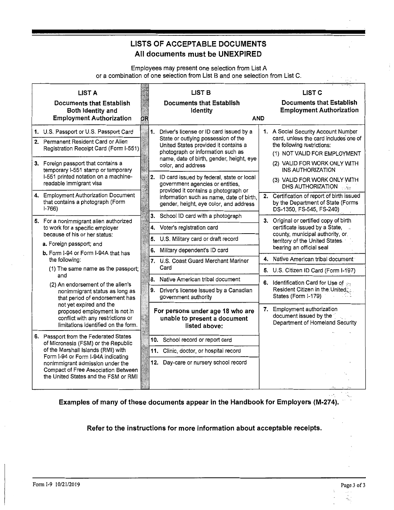# **LISTS OF ACCEPTABLE DOCUMENTS All documents must be UNEXPIRED**

Employees may present one selection from List A or a combination of one selection from List B and one selection from List C.

| <b>LIST A</b><br><b>Documents that Establish</b><br>Both Identity and<br><b>Employment Authorization</b>                                                                                                                                                                    | <b>OR</b> | <b>LIST B</b><br><b>Documents that Establish</b><br><b>Identity</b><br><b>AND</b>                                                                                                                                                   | <b>LIST C</b><br><b>Documents that Establish</b><br><b>Employment Authorization</b>                                                                                                              |
|-----------------------------------------------------------------------------------------------------------------------------------------------------------------------------------------------------------------------------------------------------------------------------|-----------|-------------------------------------------------------------------------------------------------------------------------------------------------------------------------------------------------------------------------------------|--------------------------------------------------------------------------------------------------------------------------------------------------------------------------------------------------|
| 1. U.S. Passport or U.S. Passport Card<br>2. Permanent Resident Card or Alien<br>Registration Receipt Card (Form I-551)<br>3. Foreign passport that contains a<br>temporary 1-551 stamp or temporary                                                                        |           | 1.<br>Driver's license or ID card issued by a<br>State or outlying possession of the<br>United States provided it contains a<br>photograph or information such as<br>name, date of birth, gender, height, eye<br>color, and address | 1. A Social Security Account Number<br>card, unless the card includes one of<br>the following restrictions:<br>(1) NOT VALID FOR EMPLOYMENT<br>(2) VALID FOR WORK ONLY WITH<br>INS AUTHORIZATION |
| I-551 printed notation on a machine-<br>readable immigrant visa<br>4. Employment Authorization Document<br>that contains a photograph (Form<br>$1-766$                                                                                                                      |           | 2.<br>ID card issued by federal, state or local<br>government agencies or entities,<br>provided it contains a photograph or<br>information such as name, date of birth,<br>gender, height, eye color, and address                   | (3) VALID FOR WORK ONLY WITH<br>DHS AUTHORIZATION<br>2. Certification of report of birth issued<br>by the Department of State (Forms<br>DS-1350, FS-545, FS-240)                                 |
| 5. For a nonimmigrant alien authorized<br>to work for a specific employer<br>because of his or her status:<br>a. Foreign passport; and                                                                                                                                      |           | 3. School ID card with a photograph<br>4. Voter's registration card<br>5.<br>U.S. Military card or draft record<br>Military dependent's ID card<br>6.                                                                               | 3. Original or certified copy of birth<br>certificate issued by a State,<br>county, municipal authority, or.<br>territory of the United States.<br>bearing an official seal                      |
| b. Form I-94 or Form I-94A that has<br>the following:<br>(1) The same name as the passport;<br>and                                                                                                                                                                          |           | 7. U.S. Coast Guard Merchant Mariner<br>Card<br>8. Native American tribal document                                                                                                                                                  | 4. Native American tribal document<br>5. U.S. Citizen ID Card (Form I-197)                                                                                                                       |
| (2) An endorsement of the alien's<br>nonimmigrant status as long as<br>that period of endorsement has<br>not yet expired and the                                                                                                                                            |           | 9.<br>Driver's license issued by a Canadian<br>government authority                                                                                                                                                                 | 6. Identification Card for Use of ye<br>Resident Citizen in the United<br>States (Form I-179)<br>7. Employment authorization                                                                     |
| proposed employment is not in<br>conflict with any restrictions or<br>limitations identified on the form.                                                                                                                                                                   |           | For persons under age 18 who are<br>unable to present a document<br>listed above:                                                                                                                                                   | document issued by the<br>Department of Homeland Security                                                                                                                                        |
| 6. Passport from the Federated States<br>of Micronesia (FSM) or the Republic<br>of the Marshall Islands (RMI) with<br>Form I-94 or Form I-94A indicating<br>nonimmigrant admission under the<br>Compact of Free Association Between<br>the United States and the FSM or RMI |           | 10. School record or report card<br>11. Clinic, doctor, or hospital record<br>12. Day-care or nursery school record                                                                                                                 |                                                                                                                                                                                                  |

**Examples of many of these documents appear in the Handbook for Employers (M-274).** 

#### **Refer to the instructions for more information about acceptable receipts.**

è